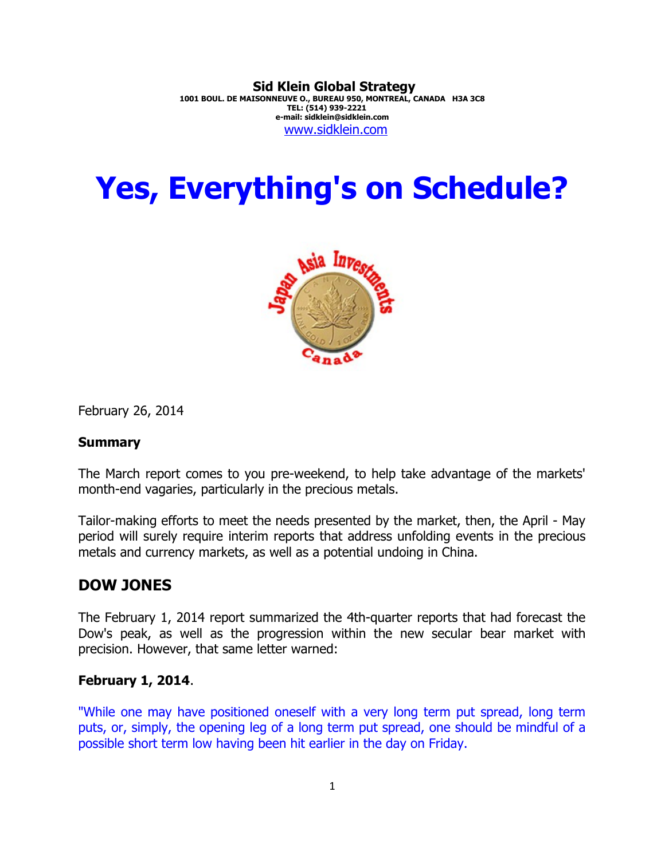**Sid Klein Global Strategy 1001 BOUL. DE MAISONNEUVE O., BUREAU 950, MONTREAL, CANADA H3A 3C8 TEL: (514) 939-2221 e-mail: sidklein@sidklein.com** [www.sidklein.com](http://www.sidklein.com/)

# **Yes, Everything's on Schedule?**



February 26, 2014

#### **Summary**

The March report comes to you pre-weekend, to help take advantage of the markets' month-end vagaries, particularly in the precious metals.

Tailor-making efforts to meet the needs presented by the market, then, the April - May period will surely require interim reports that address unfolding events in the precious metals and currency markets, as well as a potential undoing in China.

## **DOW JONES**

The February 1, 2014 report summarized the 4th-quarter reports that had forecast the Dow's peak, as well as the progression within the new secular bear market with precision. However, that same letter warned:

#### **February 1, 2014**.

"While one may have positioned oneself with a very long term put spread, long term puts, or, simply, the opening leg of a long term put spread, one should be mindful of a possible short term low having been hit earlier in the day on Friday.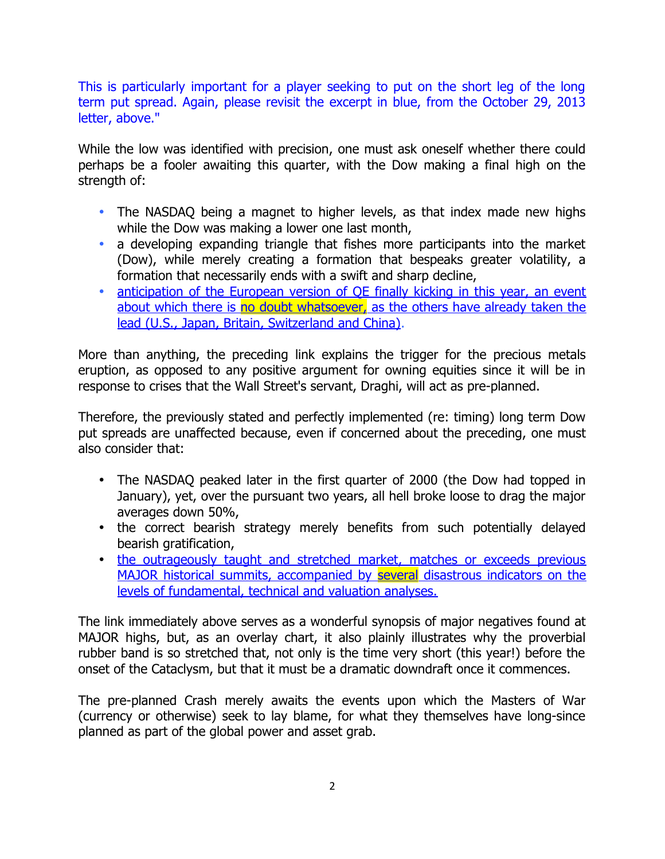This is particularly important for a player seeking to put on the short leg of the long term put spread. Again, please revisit the excerpt in blue, from the October 29, 2013 letter, above."

While the low was identified with precision, one must ask oneself whether there could perhaps be a fooler awaiting this quarter, with the Dow making a final high on the strength of:

- The NASDAQ being a magnet to higher levels, as that index made new highs while the Dow was making a lower one last month,
- a developing expanding triangle that fishes more participants into the market (Dow), while merely creating a formation that bespeaks greater volatility, a formation that necessarily ends with a swift and sharp decline,
- [anticipation of the European version of QE finally kicking in this year, an event](http://blogs.reuters.com/macroscope/2014/02/26/ecb-to-take-the-qe-plunge-thi) about which there is no doubt whatsoever, as the others have already taken the [lead \(U.S., Japan, Britain, Switzerland and China\).](http://blogs.reuters.com/macroscope/2014/02/26/ecb-to-take-the-qe-plunge-thi)

More than anything, the preceding link explains the trigger for the precious metals eruption, as opposed to any positive argument for owning equities since it will be in response to crises that the Wall Street's servant, Draghi, will act as pre-planned.

Therefore, the previously stated and perfectly implemented (re: timing) long term Dow put spreads are unaffected because, even if concerned about the preceding, one must also consider that:

- The NASDAQ peaked later in the first quarter of 2000 (the Dow had topped in January), yet, over the pursuant two years, all hell broke loose to drag the major averages down 50%,
- the correct bearish strategy merely benefits from such potentially delayed bearish gratification,
- [the outrageously taught and stretched market, matches or exceeds previous](http://www.bmgbullion.com/library_images/original/2027.jpg)  [MAJOR historical summits, accompanied by several disastrous indicators on the](http://www.bmgbullion.com/library_images/original/2027.jpg) [levels of fundamental, technical and valuation analyses.](http://www.bmgbullion.com/library_images/original/2027.jpg)

The link immediately above serves as a wonderful synopsis of major negatives found at MAJOR highs, but, as an overlay chart, it also plainly illustrates why the proverbial rubber band is so stretched that, not only is the time very short (this year!) before the onset of the Cataclysm, but that it must be a dramatic downdraft once it commences.

The pre-planned Crash merely awaits the events upon which the Masters of War (currency or otherwise) seek to lay blame, for what they themselves have long-since planned as part of the global power and asset grab.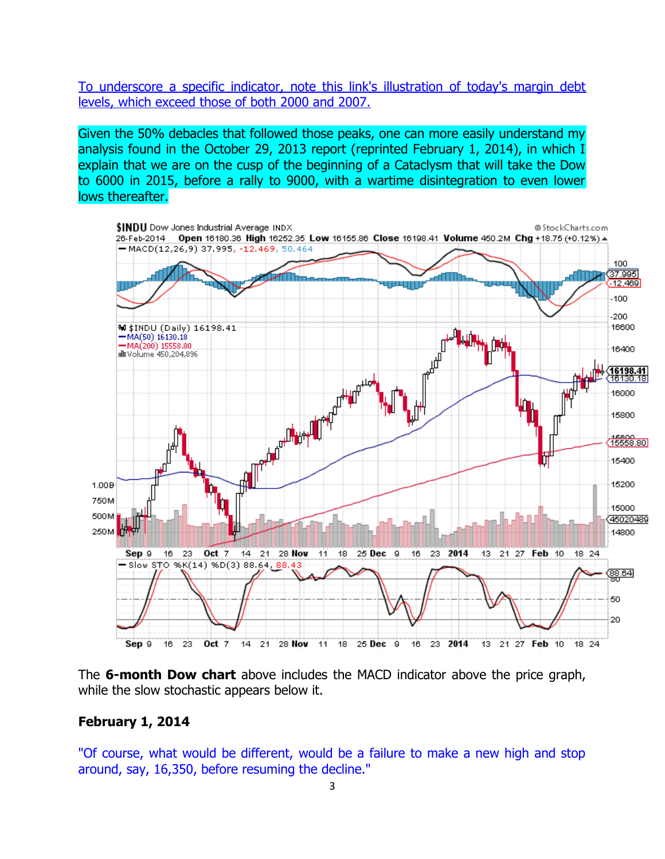[To underscore a specific indicator, note this link's illustration of today's margin debt](http://www.bmgbullion.com/library_images/original/2019.jpg) [levels, which exceed those of both 2000 and 2007.](http://www.bmgbullion.com/library_images/original/2019.jpg)

Given the 50% debacles that followed those peaks, one can more easily understand my analysis found in the October 29, 2013 report (reprinted February 1, 2014), in which I explain that we are on the cusp of the beginning of a Cataclysm that will take the Dow to 6000 in 2015, before a rally to 9000, with a wartime disintegration to even lower lows thereafter.



The **6-month Dow chart** above includes the MACD indicator above the price graph, while the slow stochastic appears below it.

#### **February 1, 2014**

"Of course, what would be different, would be a failure to make a new high and stop around, say, 16,350, before resuming the decline."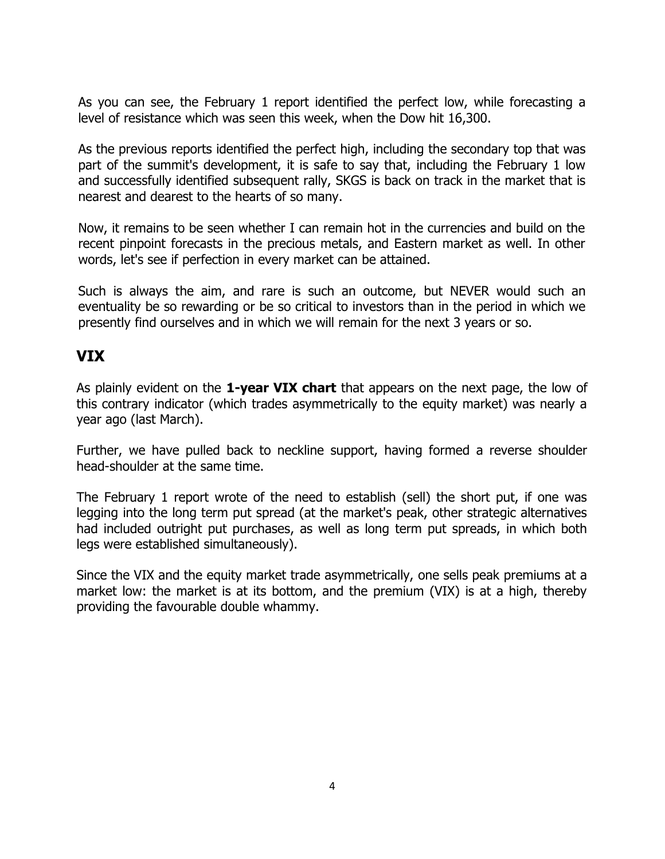As you can see, the February 1 report identified the perfect low, while forecasting a level of resistance which was seen this week, when the Dow hit 16,300.

As the previous reports identified the perfect high, including the secondary top that was part of the summit's development, it is safe to say that, including the February 1 low and successfully identified subsequent rally, SKGS is back on track in the market that is nearest and dearest to the hearts of so many.

Now, it remains to be seen whether I can remain hot in the currencies and build on the recent pinpoint forecasts in the precious metals, and Eastern market as well. In other words, let's see if perfection in every market can be attained.

Such is always the aim, and rare is such an outcome, but NEVER would such an eventuality be so rewarding or be so critical to investors than in the period in which we presently find ourselves and in which we will remain for the next 3 years or so.

# **VIX**

As plainly evident on the **1-year VIX chart** that appears on the next page, the low of this contrary indicator (which trades asymmetrically to the equity market) was nearly a year ago (last March).

Further, we have pulled back to neckline support, having formed a reverse shoulder head-shoulder at the same time.

The February 1 report wrote of the need to establish (sell) the short put, if one was legging into the long term put spread (at the market's peak, other strategic alternatives had included outright put purchases, as well as long term put spreads, in which both legs were established simultaneously).

Since the VIX and the equity market trade asymmetrically, one sells peak premiums at a market low: the market is at its bottom, and the premium (VIX) is at a high, thereby providing the favourable double whammy.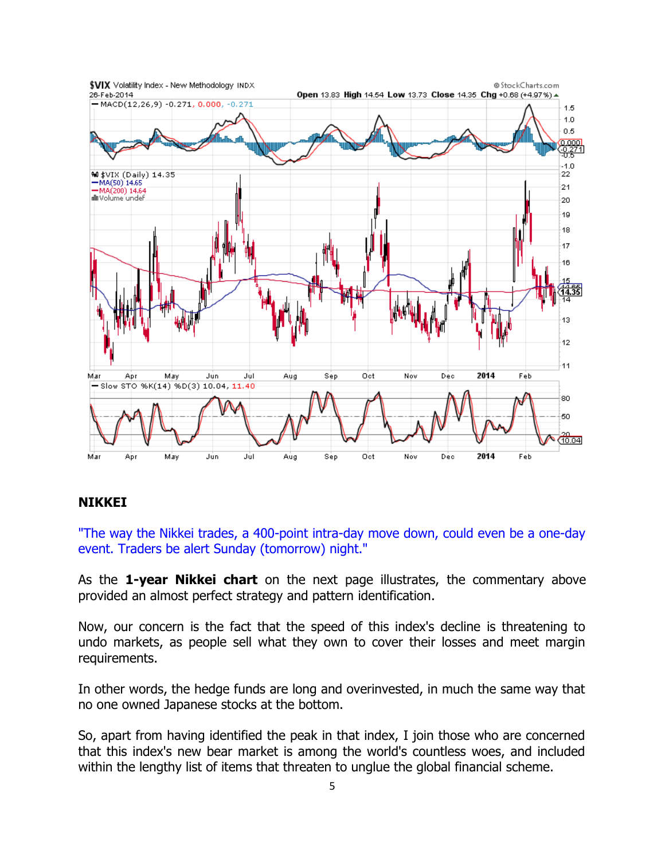

#### **NIKKEI**

"The way the Nikkei trades, a 400-point intra-day move down, could even be a one-day event. Traders be alert Sunday (tomorrow) night."

As the **1-year Nikkei chart** on the next page illustrates, the commentary above provided an almost perfect strategy and pattern identification.

Now, our concern is the fact that the speed of this index's decline is threatening to undo markets, as people sell what they own to cover their losses and meet margin requirements.

In other words, the hedge funds are long and overinvested, in much the same way that no one owned Japanese stocks at the bottom.

So, apart from having identified the peak in that index, I join those who are concerned that this index's new bear market is among the world's countless woes, and included within the lengthy list of items that threaten to unglue the global financial scheme.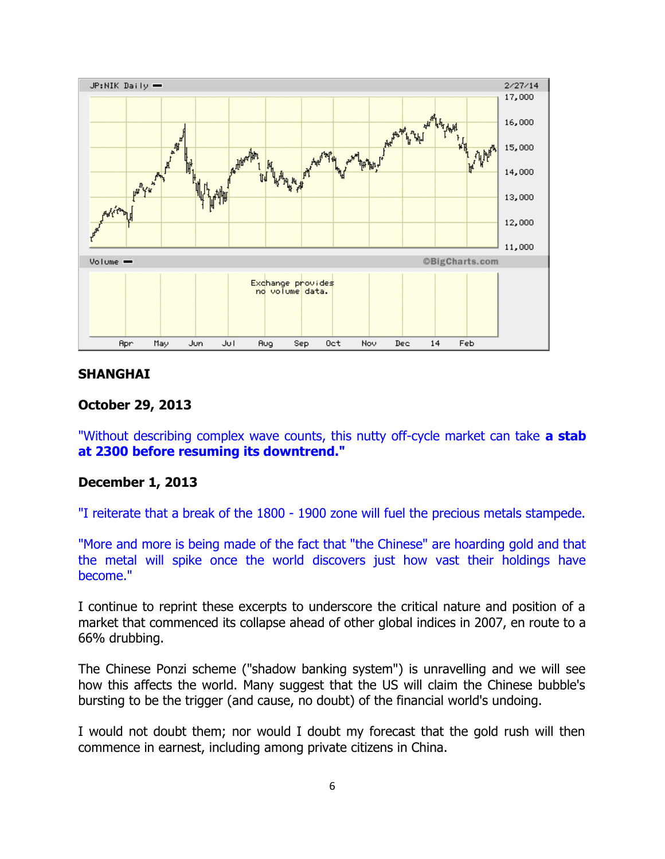

#### **SHANGHAI**

#### **October 29, 2013**

"Without describing complex wave counts, this nutty off-cycle market can take **a stab at 2300 before resuming its downtrend."** 

#### **December 1, 2013**

"I reiterate that a break of the 1800 - 1900 zone will fuel the precious metals stampede.

"More and more is being made of the fact that "the Chinese" are hoarding gold and that the metal will spike once the world discovers just how vast their holdings have become."

I continue to reprint these excerpts to underscore the critical nature and position of a market that commenced its collapse ahead of other global indices in 2007, en route to a 66% drubbing.

The Chinese Ponzi scheme ("shadow banking system") is unravelling and we will see how this affects the world. Many suggest that the US will claim the Chinese bubble's bursting to be the trigger (and cause, no doubt) of the financial world's undoing.

I would not doubt them; nor would I doubt my forecast that the gold rush will then commence in earnest, including among private citizens in China.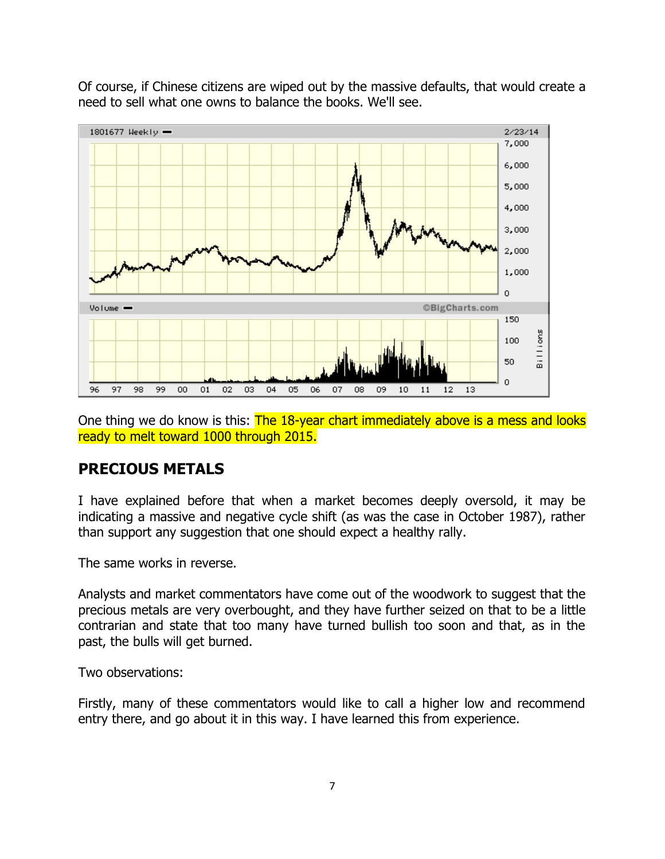Of course, if Chinese citizens are wiped out by the massive defaults, that would create a need to sell what one owns to balance the books. We'll see.



One thing we do know is this: The 18-year chart immediately above is a mess and looks ready to melt toward 1000 through 2015.

# **PRECIOUS METALS**

I have explained before that when a market becomes deeply oversold, it may be indicating a massive and negative cycle shift (as was the case in October 1987), rather than support any suggestion that one should expect a healthy rally.

The same works in reverse.

Analysts and market commentators have come out of the woodwork to suggest that the precious metals are very overbought, and they have further seized on that to be a little contrarian and state that too many have turned bullish too soon and that, as in the past, the bulls will get burned.

Two observations:

Firstly, many of these commentators would like to call a higher low and recommend entry there, and go about it in this way. I have learned this from experience.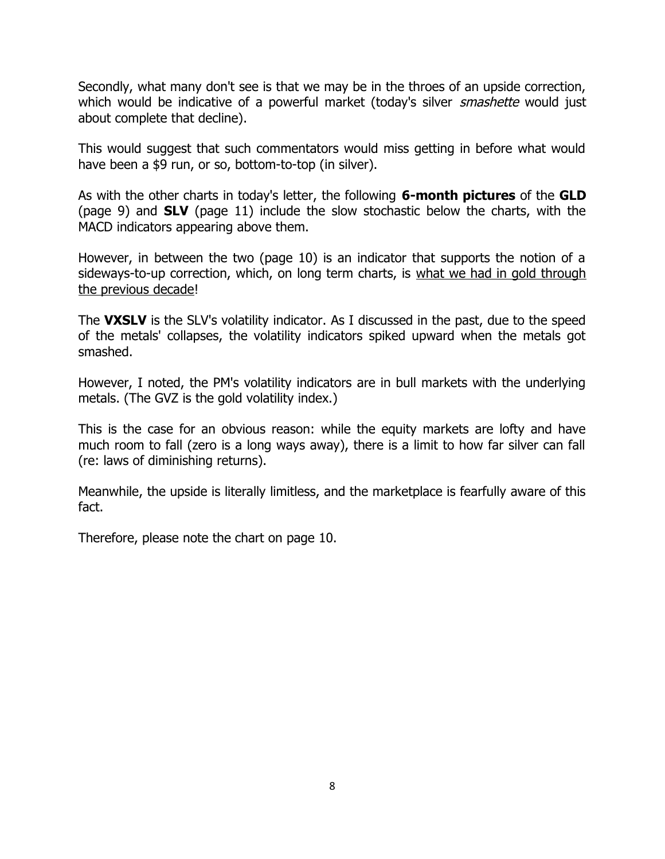Secondly, what many don't see is that we may be in the throes of an upside correction, which would be indicative of a powerful market (today's silver *smashette* would just about complete that decline).

This would suggest that such commentators would miss getting in before what would have been a \$9 run, or so, bottom-to-top (in silver).

As with the other charts in today's letter, the following **6-month pictures** of the **GLD** (page 9) and **SLV** (page 11) include the slow stochastic below the charts, with the MACD indicators appearing above them.

However, in between the two (page 10) is an indicator that supports the notion of a sideways-to-up correction, which, on long term charts, is what we had in gold through the previous decade!

The **VXSLV** is the SLV's volatility indicator. As I discussed in the past, due to the speed of the metals' collapses, the volatility indicators spiked upward when the metals got smashed.

However, I noted, the PM's volatility indicators are in bull markets with the underlying metals. (The GVZ is the gold volatility index.)

This is the case for an obvious reason: while the equity markets are lofty and have much room to fall (zero is a long ways away), there is a limit to how far silver can fall (re: laws of diminishing returns).

Meanwhile, the upside is literally limitless, and the marketplace is fearfully aware of this fact.

Therefore, please note the chart on page 10.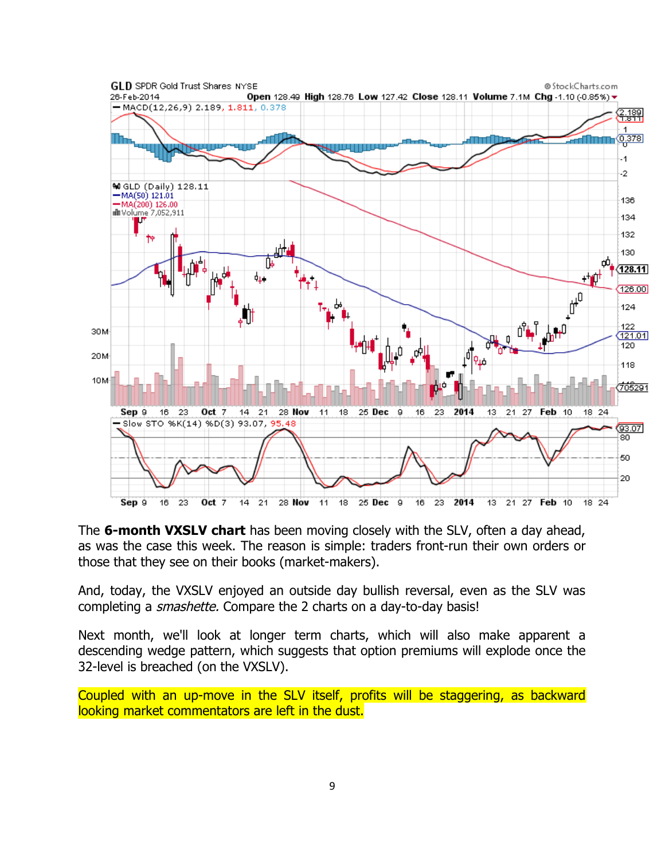

The **6-month VXSLV chart** has been moving closely with the SLV, often a day ahead, as was the case this week. The reason is simple: traders front-run their own orders or those that they see on their books (market-makers).

And, today, the VXSLV enjoyed an outside day bullish reversal, even as the SLV was completing a smashette. Compare the 2 charts on a day-to-day basis!

Next month, we'll look at longer term charts, which will also make apparent a descending wedge pattern, which suggests that option premiums will explode once the 32-level is breached (on the VXSLV).

Coupled with an up-move in the SLV itself, profits will be staggering, as backward looking market commentators are left in the dust.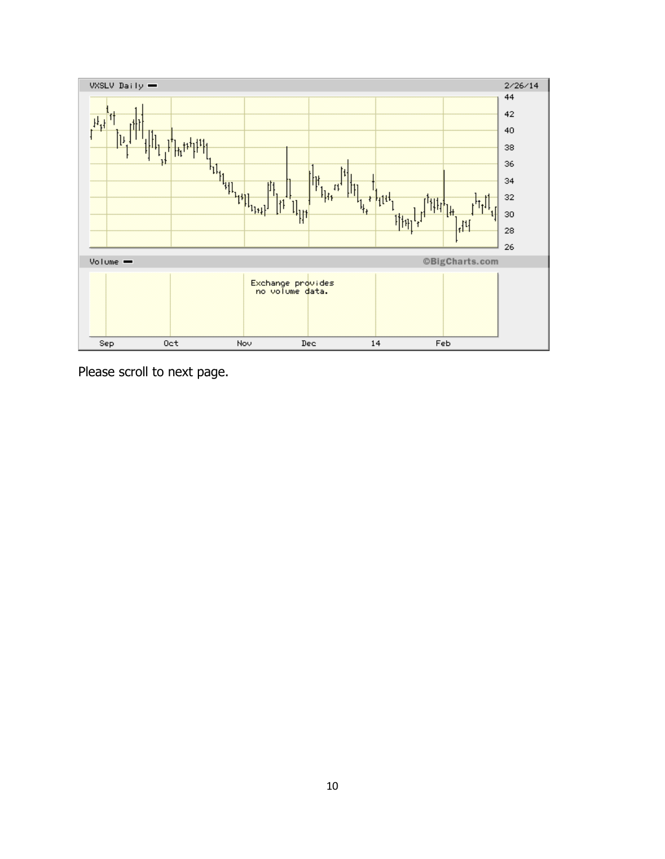

Please scroll to next page.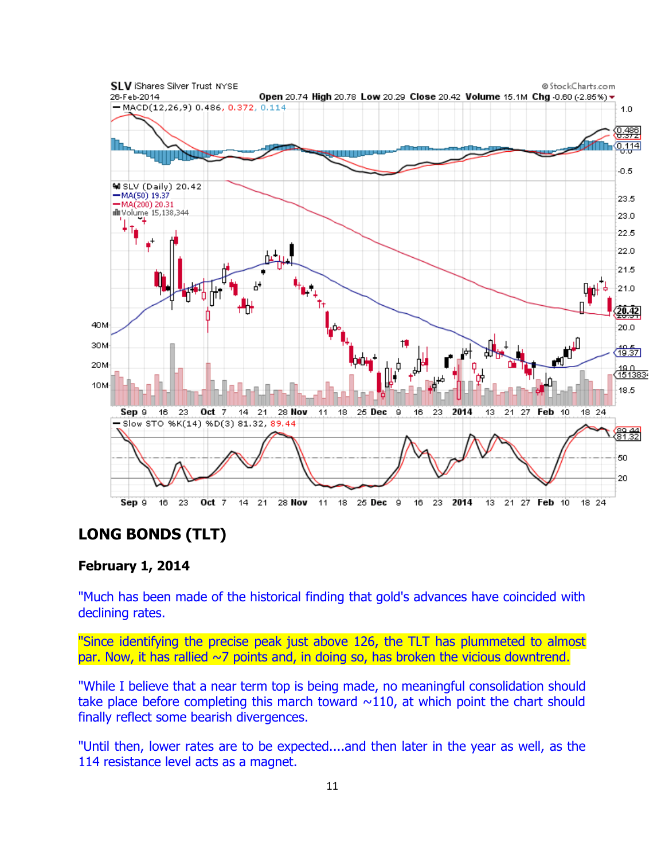

# **LONG BONDS (TLT)**

### **February 1, 2014**

"Much has been made of the historical finding that gold's advances have coincided with declining rates.

"Since identifying the precise peak just above 126, the TLT has plummeted to almost par. Now, it has rallied  $\sim$ 7 points and, in doing so, has broken the vicious downtrend.

"While I believe that a near term top is being made, no meaningful consolidation should take place before completing this march toward  $\sim$ 110, at which point the chart should finally reflect some bearish divergences.

"Until then, lower rates are to be expected....and then later in the year as well, as the 114 resistance level acts as a magnet.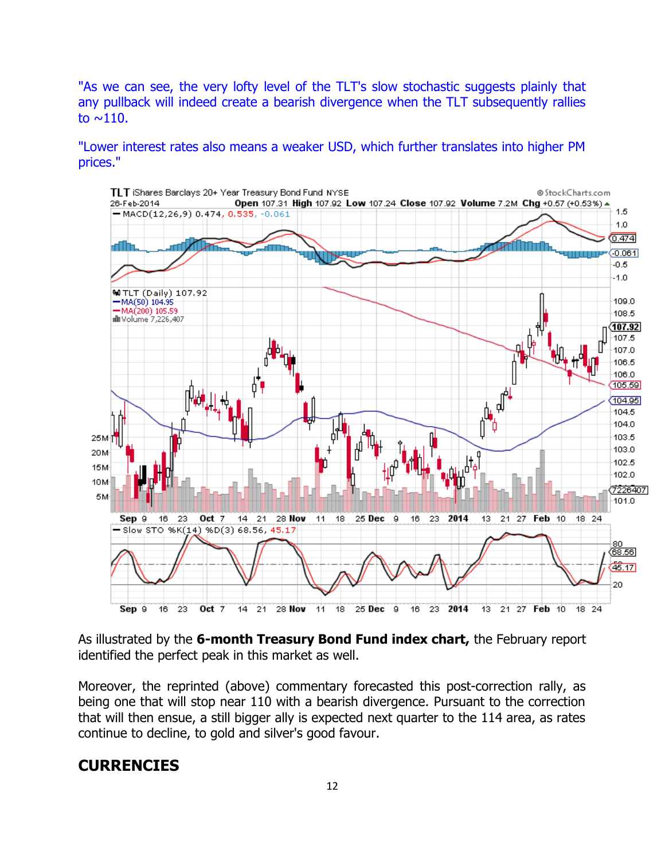"As we can see, the very lofty level of the TLT's slow stochastic suggests plainly that any pullback will indeed create a bearish divergence when the TLT subsequently rallies to  $\sim$ 110.

"Lower interest rates also means a weaker USD, which further translates into higher PM prices."



As illustrated by the **6-month Treasury Bond Fund index chart,** the February report identified the perfect peak in this market as well.

Moreover, the reprinted (above) commentary forecasted this post-correction rally, as being one that will stop near 110 with a bearish divergence. Pursuant to the correction that will then ensue, a still bigger ally is expected next quarter to the 114 area, as rates continue to decline, to gold and silver's good favour.

## **CURRENCIES**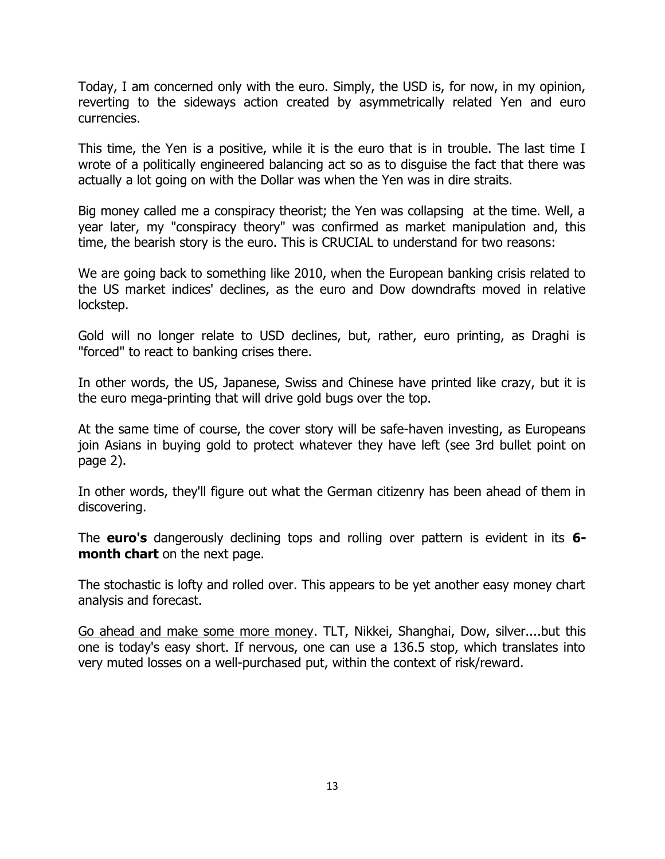Today, I am concerned only with the euro. Simply, the USD is, for now, in my opinion, reverting to the sideways action created by asymmetrically related Yen and euro currencies.

This time, the Yen is a positive, while it is the euro that is in trouble. The last time I wrote of a politically engineered balancing act so as to disguise the fact that there was actually a lot going on with the Dollar was when the Yen was in dire straits.

Big money called me a conspiracy theorist; the Yen was collapsing at the time. Well, a year later, my "conspiracy theory" was confirmed as market manipulation and, this time, the bearish story is the euro. This is CRUCIAL to understand for two reasons:

We are going back to something like 2010, when the European banking crisis related to the US market indices' declines, as the euro and Dow downdrafts moved in relative lockstep.

Gold will no longer relate to USD declines, but, rather, euro printing, as Draghi is "forced" to react to banking crises there.

In other words, the US, Japanese, Swiss and Chinese have printed like crazy, but it is the euro mega-printing that will drive gold bugs over the top.

At the same time of course, the cover story will be safe-haven investing, as Europeans join Asians in buying gold to protect whatever they have left (see 3rd bullet point on page 2).

In other words, they'll figure out what the German citizenry has been ahead of them in discovering.

The **euro's** dangerously declining tops and rolling over pattern is evident in its **6 month chart** on the next page.

The stochastic is lofty and rolled over. This appears to be yet another easy money chart analysis and forecast.

Go ahead and make some more money. TLT, Nikkei, Shanghai, Dow, silver....but this one is today's easy short. If nervous, one can use a 136.5 stop, which translates into very muted losses on a well-purchased put, within the context of risk/reward.